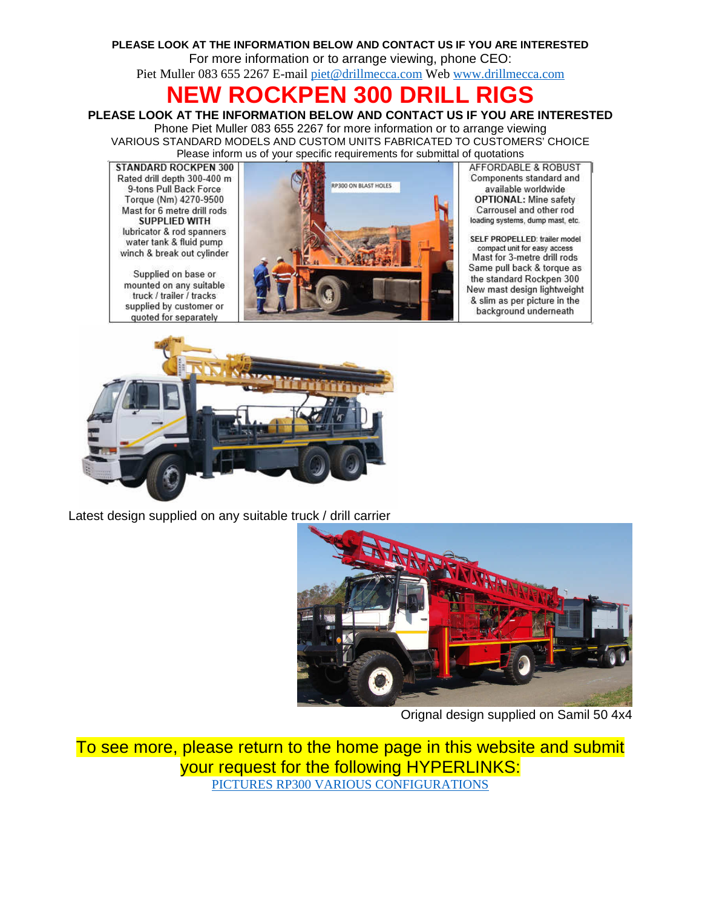### **PLEASE LOOK AT THE INFORMATION BELOW AND CONTACT US IF YOU ARE INTERESTED**  For more information or to arrange viewing, phone CEO:

Piet Muller 083 655 2267 E-mail piet@drillmecca.com Web www.drillmecca.com

# **NEW ROCKPEN 300 DRILL RIGS**

## **PLEASE LOOK AT THE INFORMATION BELOW AND CONTACT US IF YOU ARE INTERESTED**

Phone Piet Muller 083 655 2267 for more information or to arrange viewing VARIOUS STANDARD MODELS AND CUSTOM UNITS FABRICATED TO CUSTOMERS' CHOICE Please inform us of your specific requirements for submittal of quotations

STANDARD ROCKPEN 300 Rated drill depth 300-400 m 9-tons Pull Back Force Torque (Nm) 4270-9500 Mast for 6 metre drill rods SUPPLIED WITH lubricator & rod spanners water tank & fluid pump winch & break out cylinder

Supplied on base or mounted on any suitable truck / trailer / tracks supplied by customer or quoted for separately



**AFFORDABLE & ROBUST** Components standard and available worldwide **OPTIONAL: Mine safety** Carrousel and other rod loading systems, dump mast, etc.

SELF PROPELLED: trailer model compact unit for easy access Mast for 3-metre drill rods Same pull back & torque as the standard Rockpen 300 New mast design lightweight & slim as per picture in the background underneath



Latest design supplied on any suitable truck / drill carrier



Orignal design supplied on Samil 50 4x4

To see more, please return to the home page in this website and submit your request for the following HYPERLINKS: PICTURES RP300 VARIOUS CONFIGURATIONS